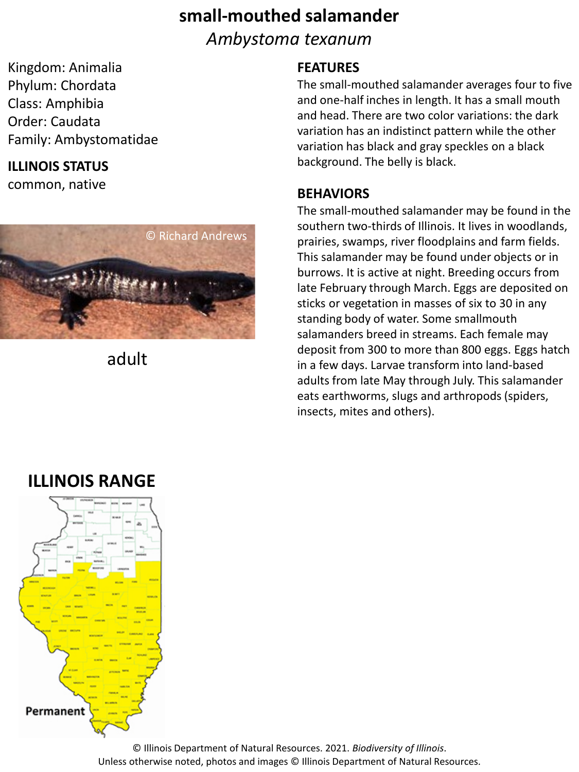# **small-mouthed salamander** *Ambystoma texanum*

Kingdom: Animalia Phylum: Chordata Class: Amphibia Order: Caudata Family: Ambystomatidae

### **ILLINOIS STATUS**

common, native



adult

#### **FEATURES**

The small-mouthed salamander averages four to five and one-half inches in length. It has a small mouth and head. There are two color variations: the dark variation has an indistinct pattern while the other variation has black and gray speckles on a black background. The belly is black.

#### **BEHAVIORS**

The small-mouthed salamander may be found in the southern two-thirds of Illinois. It lives in woodlands, prairies, swamps, river floodplains and farm fields. This salamander may be found under objects or in burrows. It is active at night. Breeding occurs from late February through March. Eggs are deposited on sticks or vegetation in masses of six to 30 in any standing body of water. Some smallmouth salamanders breed in streams. Each female may deposit from 300 to more than 800 eggs. Eggs hatch in a few days. Larvae transform into land-based adults from late May through July. This salamander eats earthworms, slugs and arthropods (spiders, insects, mites and others).

# **ILLINOIS RANGE**



© Illinois Department of Natural Resources. 2021. *Biodiversity of Illinois*. Unless otherwise noted, photos and images © Illinois Department of Natural Resources.